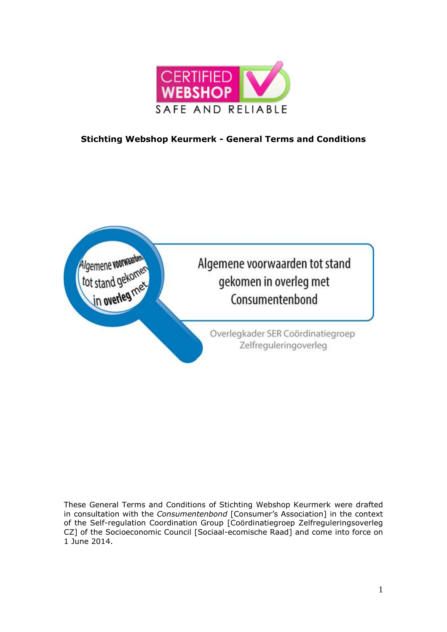

# **Stichting Webshop Keurmerk - General Terms and Conditions**



These General Terms and Conditions of Stichting Webshop Keurmerk were drafted in consultation with the *Consumentenbond* [Consumer's Association] in the context of the Self-regulation Coordination Group [Coördinatiegroep Zelfreguleringsoverleg CZ] of the Socioeconomic Council [Sociaal-ecomische Raad] and come into force on 1 June 2014.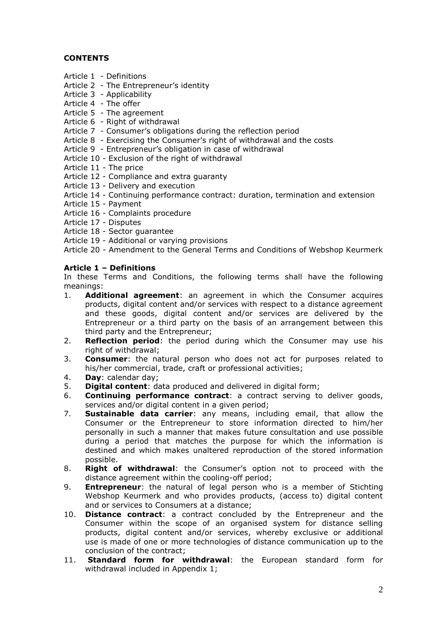## **CONTENTS**

- Article 1 Definitions
- Article 2 The Entrepreneur's identity
- Article 3 Applicability
- Article 4 The offer
- Article 5 The agreement
- Article 6 Right of withdrawal
- Article 7 Consumer's obligations during the reflection period
- Article 8 Exercising the Consumer's right of withdrawal and the costs
- Article 9 Entrepreneur's obligation in case of withdrawal
- Article 10 Exclusion of the right of withdrawal
- Article 11 The price
- Article 12 Compliance and extra guaranty
- Article 13 Delivery and execution
- Article 14 Continuing performance contract: duration, termination and extension
- Article 15 Payment
- Article 16 Complaints procedure
- Article 17 Disputes
- Article 18 Sector guarantee
- Article 19 Additional or varying provisions

Article 20 - Amendment to the General Terms and Conditions of Webshop Keurmerk

## **Article 1 – Definitions**

In these Terms and Conditions, the following terms shall have the following meanings:

- 1. **Additional agreement**: an agreement in which the Consumer acquires products, digital content and/or services with respect to a distance agreement and these goods, digital content and/or services are delivered by the Entrepreneur or a third party on the basis of an arrangement between this third party and the Entrepreneur;
- 2. **Reflection period**: the period during which the Consumer may use his right of withdrawal;
- 3. **Consumer**: the natural person who does not act for purposes related to his/her commercial, trade, craft or professional activities;
- 4. **Day**: calendar day;
- 5. **Digital content**: data produced and delivered in digital form;
- 6. **Continuing performance contract**: a contract serving to deliver goods, services and/or digital content in a given period;
- 7. **Sustainable data carrier**: any means, including email, that allow the Consumer or the Entrepreneur to store information directed to him/her personally in such a manner that makes future consultation and use possible during a period that matches the purpose for which the information is destined and which makes unaltered reproduction of the stored information possible.
- 8. **Right of withdrawal**: the Consumer's option not to proceed with the distance agreement within the cooling-off period;
- 9. **Entrepreneur**: the natural of legal person who is a member of Stichting Webshop Keurmerk and who provides products, (access to) digital content and or services to Consumers at a distance;
- 10. **Distance contract**: a contract concluded by the Entrepreneur and the Consumer within the scope of an organised system for distance selling products, digital content and/or services, whereby exclusive or additional use is made of one or more technologies of distance communication up to the conclusion of the contract;
- 11. **Standard form for withdrawal**: the European standard form for withdrawal included in Appendix 1;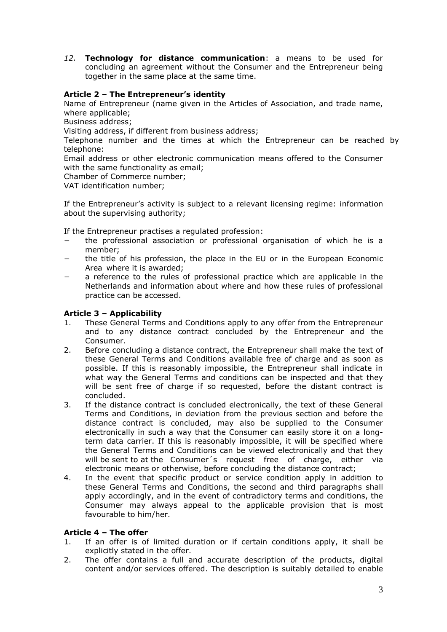*12.* **Technology for distance communication**: a means to be used for concluding an agreement without the Consumer and the Entrepreneur being together in the same place at the same time.

## **Article 2 – The Entrepreneur's identity**

Name of Entrepreneur (name given in the Articles of Association, and trade name, where applicable;

Business address;

Visiting address, if different from business address;

Telephone number and the times at which the Entrepreneur can be reached by telephone:

Email address or other electronic communication means offered to the Consumer with the same functionality as email;

Chamber of Commerce number;

VAT identification number;

If the Entrepreneur's activity is subject to a relevant licensing regime: information about the supervising authority;

If the Entrepreneur practises a regulated profession:

- − the professional association or professional organisation of which he is a member;
- the title of his profession, the place in the EU or in the European Economic Area where it is awarded;
- a reference to the rules of professional practice which are applicable in the Netherlands and information about where and how these rules of professional practice can be accessed.

### **Article 3 – Applicability**

- 1. These General Terms and Conditions apply to any offer from the Entrepreneur and to any distance contract concluded by the Entrepreneur and the Consumer.
- 2. Before concluding a distance contract, the Entrepreneur shall make the text of these General Terms and Conditions available free of charge and as soon as possible. If this is reasonably impossible, the Entrepreneur shall indicate in what way the General Terms and conditions can be inspected and that they will be sent free of charge if so requested, before the distant contract is concluded.
- 3. If the distance contract is concluded electronically, the text of these General Terms and Conditions, in deviation from the previous section and before the distance contract is concluded, may also be supplied to the Consumer electronically in such a way that the Consumer can easily store it on a longterm data carrier. If this is reasonably impossible, it will be specified where the General Terms and Conditions can be viewed electronically and that they will be sent to at the Consumer's request free of charge, either via electronic means or otherwise, before concluding the distance contract;
- 4. In the event that specific product or service condition apply in addition to these General Terms and Conditions, the second and third paragraphs shall apply accordingly, and in the event of contradictory terms and conditions, the Consumer may always appeal to the applicable provision that is most favourable to him/her.

#### **Article 4 – The offer**

- 1. If an offer is of limited duration or if certain conditions apply, it shall be explicitly stated in the offer.
- 2. The offer contains a full and accurate description of the products, digital content and/or services offered. The description is suitably detailed to enable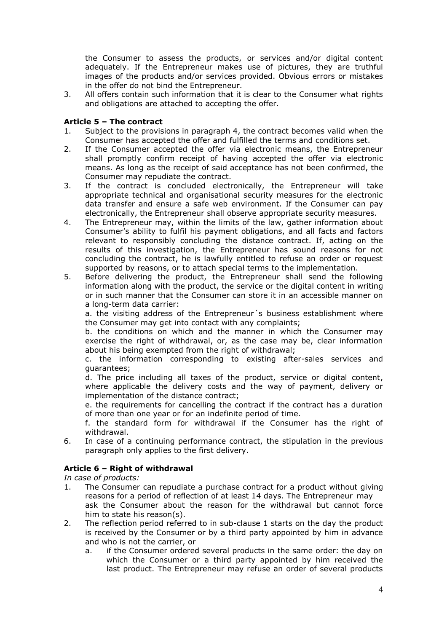the Consumer to assess the products, or services and/or digital content adequately. If the Entrepreneur makes use of pictures, they are truthful images of the products and/or services provided. Obvious errors or mistakes in the offer do not bind the Entrepreneur.

3. All offers contain such information that it is clear to the Consumer what rights and obligations are attached to accepting the offer.

## **Article 5 – The contract**

- 1. Subject to the provisions in paragraph 4, the contract becomes valid when the Consumer has accepted the offer and fulfilled the terms and conditions set.
- 2. If the Consumer accepted the offer via electronic means, the Entrepreneur shall promptly confirm receipt of having accepted the offer via electronic means. As long as the receipt of said acceptance has not been confirmed, the Consumer may repudiate the contract.
- 3. If the contract is concluded electronically, the Entrepreneur will take appropriate technical and organisational security measures for the electronic data transfer and ensure a safe web environment. If the Consumer can pay electronically, the Entrepreneur shall observe appropriate security measures.
- 4. The Entrepreneur may, within the limits of the law, gather information about Consumer's ability to fulfil his payment obligations, and all facts and factors relevant to responsibly concluding the distance contract. If, acting on the results of this investigation, the Entrepreneur has sound reasons for not concluding the contract, he is lawfully entitled to refuse an order or request supported by reasons, or to attach special terms to the implementation.
- 5. Before delivering the product, the Entrepreneur shall send the following information along with the product, the service or the digital content in writing or in such manner that the Consumer can store it in an accessible manner on a long-term data carrier:

a. the visiting address of the Entrepreneur´s business establishment where the Consumer may get into contact with any complaints;

b. the conditions on which and the manner in which the Consumer may exercise the right of withdrawal, or, as the case may be, clear information about his being exempted from the right of withdrawal;

c. the information corresponding to existing after-sales services and guarantees;

d. The price including all taxes of the product, service or digital content, where applicable the delivery costs and the way of payment, delivery or implementation of the distance contract;

e. the requirements for cancelling the contract if the contract has a duration of more than one year or for an indefinite period of time.

f. the standard form for withdrawal if the Consumer has the right of withdrawal.

6. In case of a continuing performance contract, the stipulation in the previous paragraph only applies to the first delivery.

## **Article 6 – Right of withdrawal**

*In case of products:*

- 1. The Consumer can repudiate a purchase contract for a product without giving reasons for a period of reflection of at least 14 days. The Entrepreneur may ask the Consumer about the reason for the withdrawal but cannot force him to state his reason(s).
- 2. The reflection period referred to in sub-clause 1 starts on the day the product is received by the Consumer or by a third party appointed by him in advance and who is not the carrier, or
	- a. if the Consumer ordered several products in the same order: the day on which the Consumer or a third party appointed by him received the last product. The Entrepreneur may refuse an order of several products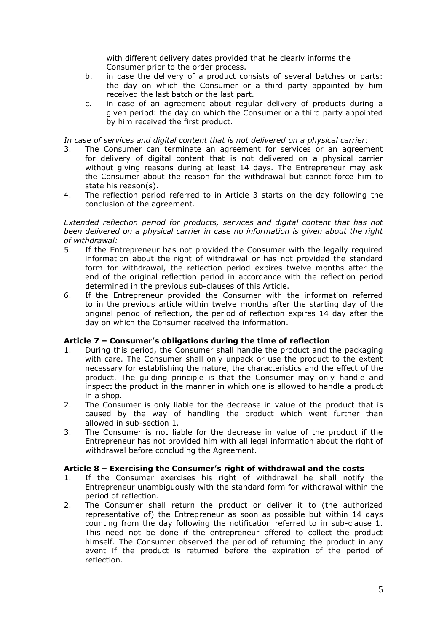with different delivery dates provided that he clearly informs the Consumer prior to the order process.

- b. in case the delivery of a product consists of several batches or parts: the day on which the Consumer or a third party appointed by him received the last batch or the last part.
- c. in case of an agreement about regular delivery of products during a given period: the day on which the Consumer or a third party appointed by him received the first product.

*In case of services and digital content that is not delivered on a physical carrier:*

- 3. The Consumer can terminate an agreement for services or an agreement for delivery of digital content that is not delivered on a physical carrier without giving reasons during at least 14 days. The Entrepreneur may ask the Consumer about the reason for the withdrawal but cannot force him to state his reason(s).
- 4. The reflection period referred to in Article 3 starts on the day following the conclusion of the agreement.

#### *Extended reflection period for products, services and digital content that has not been delivered on a physical carrier in case no information is given about the right of withdrawal:*

- 5. If the Entrepreneur has not provided the Consumer with the legally required information about the right of withdrawal or has not provided the standard form for withdrawal, the reflection period expires twelve months after the end of the original reflection period in accordance with the reflection period determined in the previous sub-clauses of this Article.
- 6. If the Entrepreneur provided the Consumer with the information referred to in the previous article within twelve months after the starting day of the original period of reflection, the period of reflection expires 14 day after the day on which the Consumer received the information.

## **Article 7 – Consumer's obligations during the time of reflection**

- 1. During this period, the Consumer shall handle the product and the packaging with care. The Consumer shall only unpack or use the product to the extent necessary for establishing the nature, the characteristics and the effect of the product. The guiding principle is that the Consumer may only handle and inspect the product in the manner in which one is allowed to handle a product in a shop.
- 2. The Consumer is only liable for the decrease in value of the product that is caused by the way of handling the product which went further than allowed in sub-section 1.
- 3. The Consumer is not liable for the decrease in value of the product if the Entrepreneur has not provided him with all legal information about the right of withdrawal before concluding the Agreement.

## **Article 8 – Exercising the Consumer's right of withdrawal and the costs**

- 1. If the Consumer exercises his right of withdrawal he shall notify the Entrepreneur unambiguously with the standard form for withdrawal within the period of reflection.
- 2. The Consumer shall return the product or deliver it to (the authorized representative of) the Entrepreneur as soon as possible but within 14 days counting from the day following the notification referred to in sub-clause 1. This need not be done if the entrepreneur offered to collect the product himself. The Consumer observed the period of returning the product in any event if the product is returned before the expiration of the period of reflection.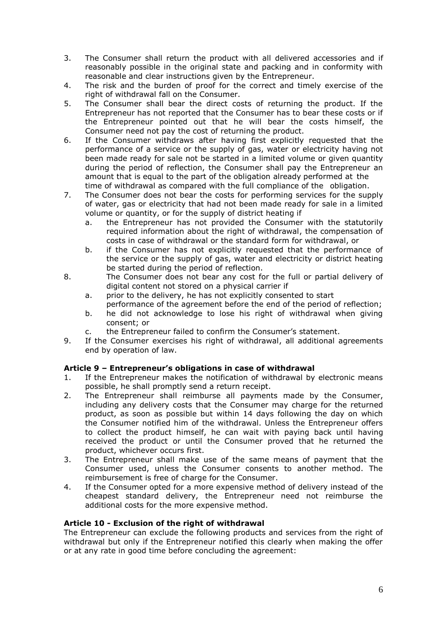- 3. The Consumer shall return the product with all delivered accessories and if reasonably possible in the original state and packing and in conformity with reasonable and clear instructions given by the Entrepreneur.
- 4. The risk and the burden of proof for the correct and timely exercise of the right of withdrawal fall on the Consumer.
- 5. The Consumer shall bear the direct costs of returning the product. If the Entrepreneur has not reported that the Consumer has to bear these costs or if the Entrepreneur pointed out that he will bear the costs himself, the Consumer need not pay the cost of returning the product.
- 6. If the Consumer withdraws after having first explicitly requested that the performance of a service or the supply of gas, water or electricity having not been made ready for sale not be started in a limited volume or given quantity during the period of reflection, the Consumer shall pay the Entrepreneur an amount that is equal to the part of the obligation already performed at the time of withdrawal as compared with the full compliance of the obligation.
- 7. The Consumer does not bear the costs for performing services for the supply of water, gas or electricity that had not been made ready for sale in a limited volume or quantity, or for the supply of district heating if
	- a. the Entrepreneur has not provided the Consumer with the statutorily required information about the right of withdrawal, the compensation of costs in case of withdrawal or the standard form for withdrawal, or
	- b. if the Consumer has not explicitly requested that the performance of the service or the supply of gas, water and electricity or district heating be started during the period of reflection.
- 8. The Consumer does not bear any cost for the full or partial delivery of digital content not stored on a physical carrier if
	- a. prior to the delivery, he has not explicitly consented to start
	- performance of the agreement before the end of the period of reflection; b. he did not acknowledge to lose his right of withdrawal when giving consent; or
	- c. the Entrepreneur failed to confirm the Consumer's statement.
- 9. If the Consumer exercises his right of withdrawal, all additional agreements end by operation of law.

## **Article 9 – Entrepreneur's obligations in case of withdrawal**

- 1. If the Entrepreneur makes the notification of withdrawal by electronic means possible, he shall promptly send a return receipt.
- 2. The Entrepreneur shall reimburse all payments made by the Consumer, including any delivery costs that the Consumer may charge for the returned product, as soon as possible but within 14 days following the day on which the Consumer notified him of the withdrawal. Unless the Entrepreneur offers to collect the product himself, he can wait with paying back until having received the product or until the Consumer proved that he returned the product, whichever occurs first.
- 3. The Entrepreneur shall make use of the same means of payment that the Consumer used, unless the Consumer consents to another method. The reimbursement is free of charge for the Consumer.
- 4. If the Consumer opted for a more expensive method of delivery instead of the cheapest standard delivery, the Entrepreneur need not reimburse the additional costs for the more expensive method.

## **Article 10 - Exclusion of the right of withdrawal**

The Entrepreneur can exclude the following products and services from the right of withdrawal but only if the Entrepreneur notified this clearly when making the offer or at any rate in good time before concluding the agreement: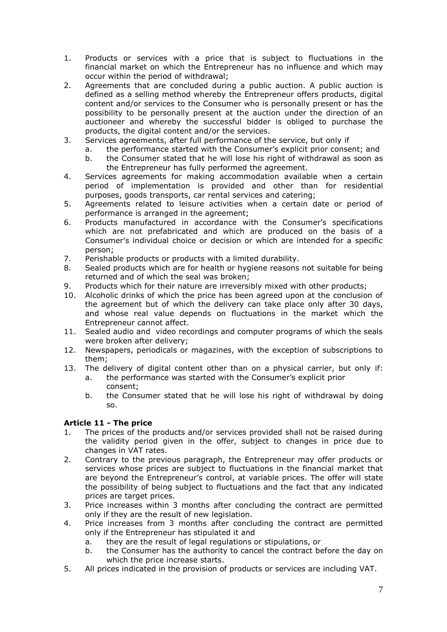- 1. Products or services with a price that is subject to fluctuations in the financial market on which the Entrepreneur has no influence and which may occur within the period of withdrawal;
- 2. Agreements that are concluded during a public auction. A public auction is defined as a selling method whereby the Entrepreneur offers products, digital content and/or services to the Consumer who is personally present or has the possibility to be personally present at the auction under the direction of an auctioneer and whereby the successful bidder is obliged to purchase the products, the digital content and/or the services.
- 3. Services agreements, after full performance of the service, but only if
	- a. the performance started with the Consumer's explicit prior consent; and
	- b. the Consumer stated that he will lose his right of withdrawal as soon as the Entrepreneur has fully performed the agreement.
- 4. Services agreements for making accommodation available when a certain period of implementation is provided and other than for residential purposes, goods transports, car rental services and catering;
- 5. Agreements related to leisure activities when a certain date or period of performance is arranged in the agreement;
- 6. Products manufactured in accordance with the Consumer's specifications which are not prefabricated and which are produced on the basis of a Consumer's individual choice or decision or which are intended for a specific person;
- 7. Perishable products or products with a limited durability.
- 8. Sealed products which are for health or hygiene reasons not suitable for being returned and of which the seal was broken;
- 9. Products which for their nature are irreversibly mixed with other products;
- 10. Alcoholic drinks of which the price has been agreed upon at the conclusion of the agreement but of which the delivery can take place only after 30 days, and whose real value depends on fluctuations in the market which the Entrepreneur cannot affect.
- 11. Sealed audio and video recordings and computer programs of which the seals were broken after delivery;
- 12. Newspapers, periodicals or magazines, with the exception of subscriptions to them;
- 13. The delivery of digital content other than on a physical carrier, but only if: a. the performance was started with the Consumer's explicit prior
	- consent;
	- b. the Consumer stated that he will lose his right of withdrawal by doing so.

## **Article 11 - The price**

- 1. The prices of the products and/or services provided shall not be raised during the validity period given in the offer, subject to changes in price due to changes in VAT rates.
- 2. Contrary to the previous paragraph, the Entrepreneur may offer products or services whose prices are subject to fluctuations in the financial market that are beyond the Entrepreneur's control, at variable prices. The offer will state the possibility of being subject to fluctuations and the fact that any indicated prices are target prices.
- 3. Price increases within 3 months after concluding the contract are permitted only if they are the result of new legislation.
- 4. Price increases from 3 months after concluding the contract are permitted only if the Entrepreneur has stipulated it and
	- a. they are the result of legal regulations or stipulations, or
	- b. the Consumer has the authority to cancel the contract before the day on which the price increase starts.
- 5. All prices indicated in the provision of products or services are including VAT.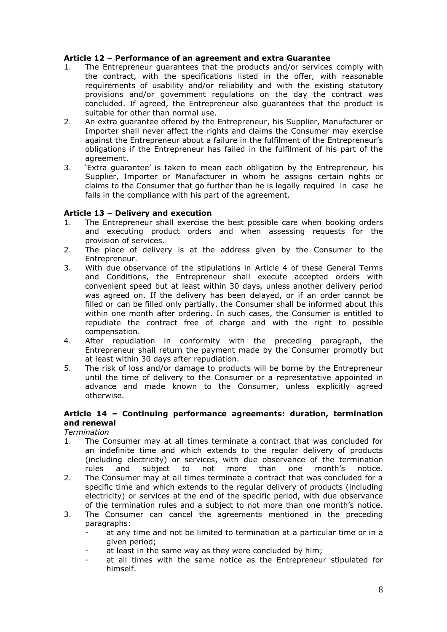## **Article 12 – Performance of an agreement and extra Guarantee**

- 1. The Entrepreneur guarantees that the products and/or services comply with the contract, with the specifications listed in the offer, with reasonable requirements of usability and/or reliability and with the existing statutory provisions and/or government regulations on the day the contract was concluded. If agreed, the Entrepreneur also guarantees that the product is suitable for other than normal use.
- 2. An extra guarantee offered by the Entrepreneur, his Supplier, Manufacturer or Importer shall never affect the rights and claims the Consumer may exercise against the Entrepreneur about a failure in the fulfilment of the Entrepreneur's obligations if the Entrepreneur has failed in the fulfilment of his part of the agreement.
- 3. 'Extra guarantee' is taken to mean each obligation by the Entrepreneur, his Supplier, Importer or Manufacturer in whom he assigns certain rights or claims to the Consumer that go further than he is legally required in case he fails in the compliance with his part of the agreement.

#### **Article 13 – Delivery and execution**

- 1. The Entrepreneur shall exercise the best possible care when booking orders and executing product orders and when assessing requests for the provision of services.
- 2. The place of delivery is at the address given by the Consumer to the Entrepreneur.
- 3. With due observance of the stipulations in Article 4 of these General Terms and Conditions, the Entrepreneur shall execute accepted orders with convenient speed but at least within 30 days, unless another delivery period was agreed on. If the delivery has been delayed, or if an order cannot be filled or can be filled only partially, the Consumer shall be informed about this within one month after ordering. In such cases, the Consumer is entitled to repudiate the contract free of charge and with the right to possible compensation.
- 4. After repudiation in conformity with the preceding paragraph, the Entrepreneur shall return the payment made by the Consumer promptly but at least within 30 days after repudiation.
- 5. The risk of loss and/or damage to products will be borne by the Entrepreneur until the time of delivery to the Consumer or a representative appointed in advance and made known to the Consumer, unless explicitly agreed otherwise.

#### **Article 14 – Continuing performance agreements: duration, termination and renewal**

#### *Termination*

- 1. The Consumer may at all times terminate a contract that was concluded for an indefinite time and which extends to the regular delivery of products (including electricity) or services, with due observance of the termination rules and subject to not more than one month's notice.
- 2. The Consumer may at all times terminate a contract that was concluded for a specific time and which extends to the regular delivery of products (including electricity) or services at the end of the specific period, with due observance of the termination rules and a subject to not more than one month's notice.
- 3. The Consumer can cancel the agreements mentioned in the preceding paragraphs:
	- at any time and not be limited to termination at a particular time or in a given period;
	- at least in the same way as they were concluded by him;
	- at all times with the same notice as the Entrepreneur stipulated for himself.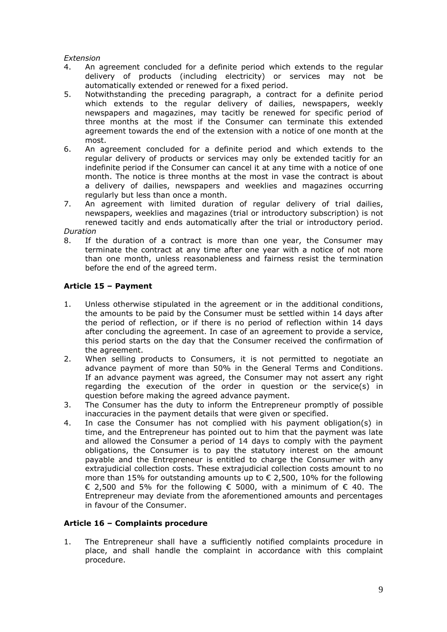#### *Extension*

- 4. An agreement concluded for a definite period which extends to the regular delivery of products (including electricity) or services may not be automatically extended or renewed for a fixed period.
- 5. Notwithstanding the preceding paragraph, a contract for a definite period which extends to the regular delivery of dailies, newspapers, weekly newspapers and magazines, may tacitly be renewed for specific period of three months at the most if the Consumer can terminate this extended agreement towards the end of the extension with a notice of one month at the most.
- 6. An agreement concluded for a definite period and which extends to the regular delivery of products or services may only be extended tacitly for an indefinite period if the Consumer can cancel it at any time with a notice of one month. The notice is three months at the most in vase the contract is about a delivery of dailies, newspapers and weeklies and magazines occurring regularly but less than once a month.
- 7. An agreement with limited duration of regular delivery of trial dailies, newspapers, weeklies and magazines (trial or introductory subscription) is not renewed tacitly and ends automatically after the trial or introductory period. *Duration*

8. If the duration of a contract is more than one year, the Consumer may terminate the contract at any time after one year with a notice of not more than one month, unless reasonableness and fairness resist the termination before the end of the agreed term.

## **Article 15 – Payment**

- 1. Unless otherwise stipulated in the agreement or in the additional conditions, the amounts to be paid by the Consumer must be settled within 14 days after the period of reflection, or if there is no period of reflection within 14 days after concluding the agreement. In case of an agreement to provide a service, this period starts on the day that the Consumer received the confirmation of the agreement.
- 2. When selling products to Consumers, it is not permitted to negotiate an advance payment of more than 50% in the General Terms and Conditions. If an advance payment was agreed, the Consumer may not assert any right regarding the execution of the order in question or the service(s) in question before making the agreed advance payment.
- 3. The Consumer has the duty to inform the Entrepreneur promptly of possible inaccuracies in the payment details that were given or specified.
- 4. In case the Consumer has not complied with his payment obligation(s) in time, and the Entrepreneur has pointed out to him that the payment was late and allowed the Consumer a period of 14 days to comply with the payment obligations, the Consumer is to pay the statutory interest on the amount payable and the Entrepreneur is entitled to charge the Consumer with any extrajudicial collection costs. These extrajudicial collection costs amount to no more than 15% for outstanding amounts up to  $\epsilon$  2,500, 10% for the following € 2,500 and 5% for the following  $∈$  5000, with a minimum of  $∈$  40. The Entrepreneur may deviate from the aforementioned amounts and percentages in favour of the Consumer.

## **Article 16 – Complaints procedure**

1. The Entrepreneur shall have a sufficiently notified complaints procedure in place, and shall handle the complaint in accordance with this complaint procedure.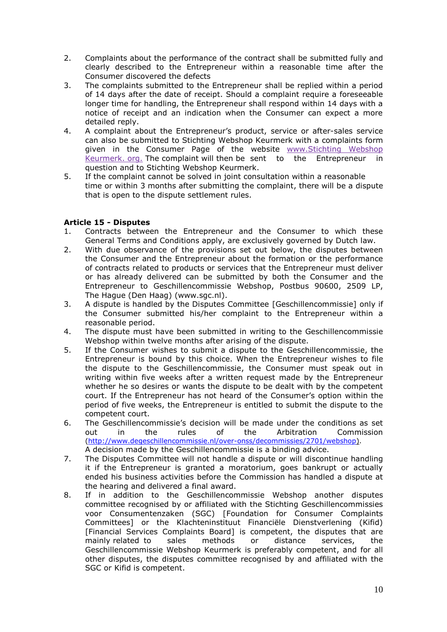- 2. Complaints about the performance of the contract shall be submitted fully and clearly described to the Entrepreneur within a reasonable time after the Consumer discovered the defects
- 3. The complaints submitted to the Entrepreneur shall be replied within a period of 14 days after the date of receipt. Should a complaint require a foreseeable longer time for handling, the Entrepreneur shall respond within 14 days with a notice of receipt and an indication when the Consumer can expect a more detailed reply.
- 4. A complaint about the Entrepreneur's product, service or after-sales service can also be submitted to Stichting Webshop Keurmerk with a complaints form given in the Consumer Page of the website [www.Stichting](http://www.stichting/) Webshop Keurmerk. org. The complaint will then be sent to the Entrepreneur in question and to Stichting Webshop Keurmerk.
- 5. If the complaint cannot be solved in joint consultation within a reasonable time or within 3 months after submitting the complaint, there will be a dispute that is open to the dispute settlement rules.

## **Article 15 - Disputes**

- 1. Contracts between the Entrepreneur and the Consumer to which these General Terms and Conditions apply, are exclusively governed by Dutch law.
- 2. With due observance of the provisions set out below, the disputes between the Consumer and the Entrepreneur about the formation or the performance of contracts related to products or services that the Entrepreneur must deliver or has already delivered can be submitted by both the Consumer and the Entrepreneur to Geschillencommissie Webshop, Postbus 90600, 2509 LP, The Hague (Den Haag) (www.sgc.nl).
- 3. A dispute is handled by the Disputes Committee [Geschillencommissie] only if the Consumer submitted his/her complaint to the Entrepreneur within a reasonable period.
- 4. The dispute must have been submitted in writing to the Geschillencommissie Webshop within twelve months after arising of the dispute.
- 5. If the Consumer wishes to submit a dispute to the Geschillencommissie, the Entrepreneur is bound by this choice. When the Entrepreneur wishes to file the dispute to the Geschillencommissie, the Consumer must speak out in writing within five weeks after a written request made by the Entrepreneur whether he so desires or wants the dispute to be dealt with by the competent court. If the Entrepreneur has not heard of the Consumer's option within the period of five weeks, the Entrepreneur is entitled to submit the dispute to the competent court.
- 6. The Geschillencommissie's decision will be made under the conditions as set out in the rules of the Arbitration Commission [\(http://www.degeschillencommissie.nl/over-onss/decommissies/2701/webshop\)](http://www.degeschillencommissie.nl/over-onss/decommissies/2701/webshop). A decision made by the Geschillencommissie is a binding advice.
- 7. The Disputes Committee will not handle a dispute or will discontinue handling it if the Entrepreneur is granted a moratorium, goes bankrupt or actually ended his business activities before the Commission has handled a dispute at the hearing and delivered a final award.
- 8. If in addition to the Geschillencommissie Webshop another disputes committee recognised by or affiliated with the Stichting Geschillencommissies voor Consumentenzaken (SGC) [Foundation for Consumer Complaints Committees] or the Klachteninstituut Financiële Dienstverlening (Kifid) [Financial Services Complaints Board] is competent, the disputes that are mainly related to sales methods or distance services, the Geschillencommissie Webshop Keurmerk is preferably competent, and for all other disputes, the disputes committee recognised by and affiliated with the SGC or Kifid is competent.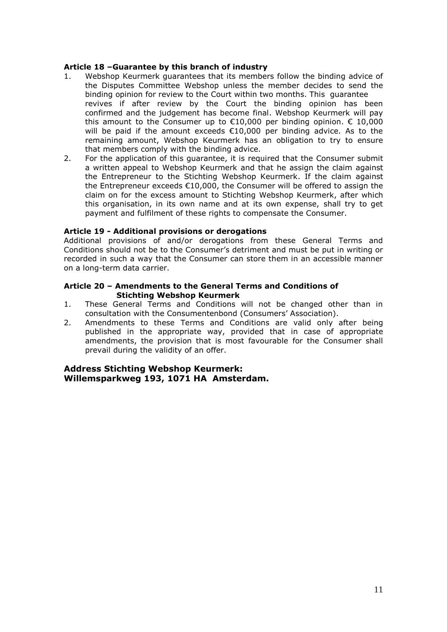#### **Article 18 –Guarantee by this branch of industry**

- 1. Webshop Keurmerk guarantees that its members follow the binding advice of the Disputes Committee Webshop unless the member decides to send the binding opinion for review to the Court within two months. This guarantee revives if after review by the Court the binding opinion has been confirmed and the judgement has become final. Webshop Keurmerk will pay this amount to the Consumer up to  $\epsilon$ 10,000 per binding opinion.  $\epsilon$  10,000 will be paid if the amount exceeds €10,000 per binding advice. As to the remaining amount, Webshop Keurmerk has an obligation to try to ensure that members comply with the binding advice.
- 2. For the application of this guarantee, it is required that the Consumer submit a written appeal to Webshop Keurmerk and that he assign the claim against the Entrepreneur to the Stichting Webshop Keurmerk. If the claim against the Entrepreneur exceeds €10,000, the Consumer will be offered to assign the claim on for the excess amount to Stichting Webshop Keurmerk, after which this organisation, in its own name and at its own expense, shall try to get payment and fulfilment of these rights to compensate the Consumer.

#### **Article 19 - Additional provisions or derogations**

Additional provisions of and/or derogations from these General Terms and Conditions should not be to the Consumer's detriment and must be put in writing or recorded in such a way that the Consumer can store them in an accessible manner on a long-term data carrier.

#### **Article 20 – Amendments to the General Terms and Conditions of Stichting Webshop Keurmerk**

- 1. These General Terms and Conditions will not be changed other than in consultation with the Consumentenbond (Consumers' Association).
- 2. Amendments to these Terms and Conditions are valid only after being published in the appropriate way, provided that in case of appropriate amendments, the provision that is most favourable for the Consumer shall prevail during the validity of an offer.

## **Address Stichting Webshop Keurmerk: Willemsparkweg 193, 1071 HA Amsterdam.**